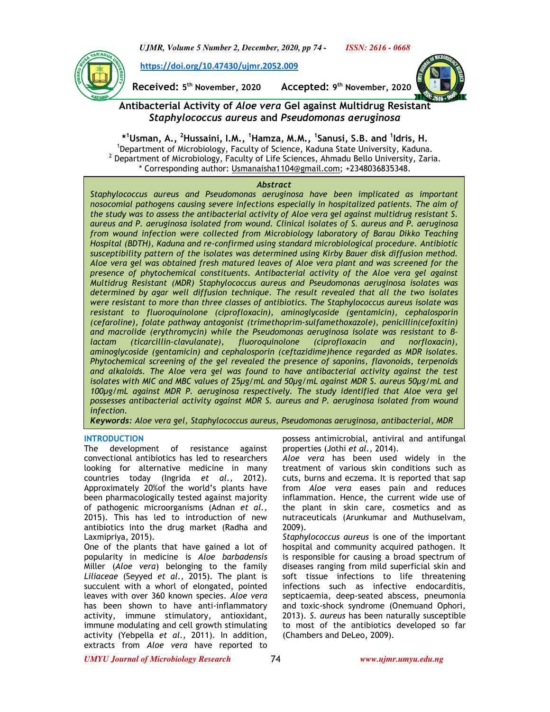*UJMR, Volume 5 Number 2, December, 2020, pp 74 - ISSN: 2616 - 0668*

Ï

**https://doi.org/10.47430/ujmr.2052.009**

**Received: 5 th November, 2020 Accepted: 9**

**th November, 2020** 



# **Antibacterial Activity of** *Aloe vera* **Gel against Multidrug Resistant**  *Staphylococcus aureus* **and** *Pseudomonas aeruginosa*

**\* <sup>1</sup>Usman, A., <sup>2</sup>Hussaini, I.M., <sup>1</sup>Hamza, M.M., <sup>1</sup> Sanusi, S.B. and <sup>1</sup> Idris, H.**  <sup>1</sup>Department of Microbiology, Faculty of Science, Kaduna State University, Kaduna.  $^2$  Department of Microbiology, Faculty of Life Sciences, Ahmadu Bello University, Zaria. \* Corresponding author: Usmanaisha1104@gmail.com; +2348036835348.

## *Abstract*

*Staphylococcus aureus and Pseudomonas aeruginosa have been implicated as important nosocomial pathogens causing severe infections especially in hospitalized patients. The aim of the study was to assess the antibacterial activity of Aloe vera gel against multidrug resistant S. aureus and P. aeruginosa isolated from wound. Clinical isolates of S. aureus and P. aeruginosa from wound infection were collected from Microbiology laboratory of Barau Dikko Teaching Hospital (BDTH), Kaduna and re-confirmed using standard microbiological procedure. Antibiotic susceptibility pattern of the isolates was determined using Kirby Bauer disk diffusion method. Aloe vera gel was obtained fresh matured leaves of Aloe vera plant and was screened for the presence of phytochemical constituents. Antibacterial activity of the Aloe vera gel against Multidrug Resistant (MDR) Staphylococcus aureus and Pseudomonas aeruginosa isolates was determined by agar well diffusion technique. The result revealed that all the two isolates were resistant to more than three classes of antibiotics. The Staphylococcus aureus isolate was resistant to fluoroquinolone (ciprofloxacin), aminoglycoside (gentamicin), cephalosporin (cefaroline), folate pathway antagonist (trimethoprim-sulfamethoxazole), penicillin(cefoxitin) and macrolide (erythromycin) while the Pseudomonas aeruginosa isolate was resistant to βlactam (ticarcillin-clavulanate), fluoroquinolone (ciprofloxacin and norfloxacin), aminoglycoside (gentamicin) and cephalosporin (ceftazidime)hence regarded as MDR isolates. Phytochemical screening of the gel revealed the presence of saponins, flavonoids, terpenoids and alkaloids. The Aloe vera gel was found to have antibacterial activity against the test isolates with MIC and MBC values of 25µg/mL and 50µg/mL against MDR S. aureus 50µg/mL and 100µg/mL against MDR P. aeruginosa respectively. The study identified that Aloe vera gel possesses antibacterial activity against MDR S. aureus and P. aeruginosa isolated from wound infection.* 

*Keywords: Aloe vera gel, Staphylococcus aureus, Pseudomonas aeruginosa, antibacterial, MDR*

## **INTRODUCTION**

The development of resistance against convectional antibiotics has led to researchers looking for alternative medicine in many countries today (Ingrida *et al.,* 2012). Approximately 20%of the world's plants have been pharmacologically tested against majority of pathogenic microorganisms (Adnan *et al.,* 2015). This has led to introduction of new antibiotics into the drug market (Radha and Laxmipriya, 2015).

One of the plants that have gained a lot of popularity in medicine is *Aloe barbadensis* Miller (*Aloe vera*) belonging to the family *Liliaceae* (Seyyed *et al.,* 2015). The plant is succulent with a whorl of elongated, pointed leaves with over 360 known species. *Aloe vera* has been shown to have anti-inflammatory activity, immune stimulatory, antioxidant, immune modulating and cell growth stimulating activity (Yebpella *et al.,* 2011). In addition, extracts from *Aloe vera* have reported to

possess antimicrobial, antiviral and antifungal properties (Jothi *et al.,* 2014).

*Aloe vera* has been used widely in the treatment of various skin conditions such as cuts, burns and eczema. It is reported that sap from *Aloe vera* eases pain and reduces inflammation. Hence, the current wide use of the plant in skin care, cosmetics and as nutraceuticals (Arunkumar and Muthuselvam, 2009).

*Staphylococcus aureus* is one of the important hospital and community acquired pathogen. It is responsible for causing a broad spectrum of diseases ranging from mild superficial skin and soft tissue infections to life threatening infections such as infective endocarditis, septicaemia, deep-seated abscess, pneumonia and toxic-shock syndrome (Onemuand Ophori, 2013). *S. aureus* has been naturally susceptible to most of the antibiotics developed so far (Chambers and DeLeo, 2009).

*UMYU Journal of Microbiology Research www.ujmr.umyu.edu.ng*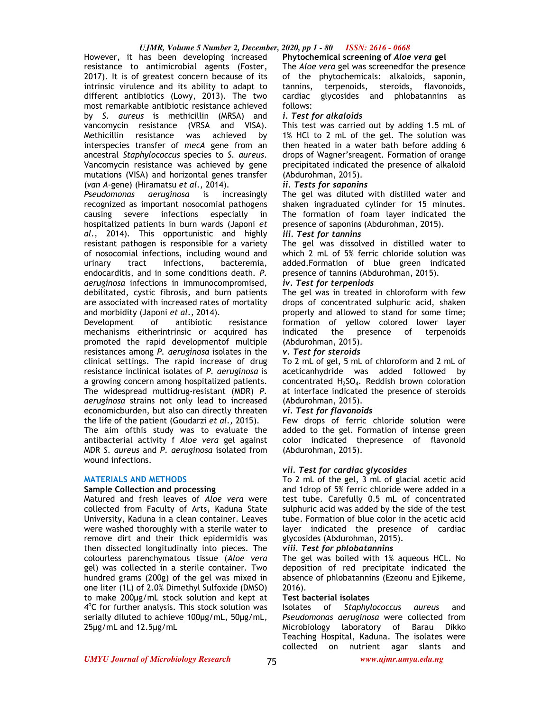## *UJMR, Volume 5 Number 2, December, 2020, pp 1 - 80 ISSN: 2616 - 0668*

However, it has been developing increased resistance to antimicrobial agents (Foster, 2017). It is of greatest concern because of its intrinsic virulence and its ability to adapt to different antibiotics (Lowy, 2013). The two most remarkable antibiotic resistance achieved by *S. aureus* is methicillin (MRSA) and vancomycin resistance (VRSA and VISA). Methicillin resistance was achieved by interspecies transfer of *mecA* gene from an ancestral *Staphylococcus* species to *S. aureus*. Vancomycin resistance was achieved by gene mutations (VISA) and horizontal genes transfer (*van A*-gene) (Hiramatsu *et al*., 2014).

*Pseudomonas aeruginosa* is increasingly recognized as important nosocomial pathogens causing severe infections especially in hospitalized patients in burn wards (Japoni *et al.,* 2014). This opportunistic and highly resistant pathogen is responsible for a variety of nosocomial infections, including wound and urinary tract infections, bacteremia, endocarditis, and in some conditions death*. P. aeruginosa* infections in immunocompromised, debilitated, cystic fibrosis, and burn patients are associated with increased rates of mortality and morbidity (Japoni *et al*., 2014).

Development of antibiotic resistance mechanisms eitherintrinsic or acquired has promoted the rapid developmentof multiple resistances among *P. aeruginosa* isolates in the clinical settings. The rapid increase of drug resistance inclinical isolates of *P. aeruginosa* is a growing concern among hospitalized patients. The widespread multidrug-resistant (MDR) *P. aeruginosa* strains not only lead to increased economicburden, but also can directly threaten the life of the patient (Goudarzi *et al.,* 2015).

The aim ofthis study was to evaluate the antibacterial activity f *Aloe vera* gel against MDR *S. aureus* and *P. aeruginosa* isolated from wound infections.

## **MATERIALS AND METHODS**

## **Sample Collection and processing**

Matured and fresh leaves of *Aloe vera* were collected from Faculty of Arts, Kaduna State University, Kaduna in a clean container. Leaves were washed thoroughly with a sterile water to remove dirt and their thick epidermidis was then dissected longitudinally into pieces. The colourless parenchymatous tissue (*Aloe vera* gel) was collected in a sterile container. Two hundred grams (200g) of the gel was mixed in one liter (1L) of 2.0% Dimethyl Sulfoxide (DMSO) to make 200µg/mL stock solution and kept at 4°C for further analysis. This stock solution was serially diluted to achieve 100µg/mL, 50µg/mL, 25µg/mL and 12.5µg/mL

## **Phytochemical screening of** *Aloe vera* **gel**

The *Aloe vera* gel was screenedfor the presence of the phytochemicals: alkaloids, saponin, tannins, terpenoids, steroids, flavonoids, cardiac glycosides and phlobatannins as follows:

### *i. Test for alkaloids*

This test was carried out by adding 1.5 mL of 1% HCl to 2 mL of the gel. The solution was then heated in a water bath before adding 6 drops of Wagner'sreagent. Formation of orange precipitated indicated the presence of alkaloid (Abdurohman, 2015).

#### *ii. Tests for saponins*

The gel was diluted with distilled water and shaken ingraduated cylinder for 15 minutes. The formation of foam layer indicated the presence of saponins (Abdurohman, 2015).

#### *iii. Test for tannins*

The gel was dissolved in distilled water to which 2 mL of 5% ferric chloride solution was added.Formation of blue green indicated presence of tannins (Abdurohman, 2015).

## *iv. Test for terpeniods*

The gel was in treated in chloroform with few drops of concentrated sulphuric acid, shaken properly and allowed to stand for some time; formation of yellow colored lower layer indicated the presence of terpenoids (Abdurohman, 2015).

## *v. Test for steroids*

To 2 mL of gel, 5 mL of chloroform and 2 mL of aceticanhydride was added followed by concentrated  $H_2SO_4$ . Reddish brown coloration at interface indicated the presence of steroids (Abdurohman, 2015).

## *vi. Test for flavonoids*

Few drops of ferric chloride solution were added to the gel. Formation of intense green color indicated thepresence of flavonoid (Abdurohman, 2015).

## *vii. Test for cardiac glycosides*

To 2 mL of the gel, 3 mL of glacial acetic acid and 1drop of 5% ferric chloride were added in a test tube. Carefully 0.5 mL of concentrated sulphuric acid was added by the side of the test tube. Formation of blue color in the acetic acid layer indicated the presence of cardiac glycosides (Abdurohman, 2015).

## *viii. Test for phlobatannins*

The gel was boiled with 1% aqueous HCL. No deposition of red precipitate indicated the absence of phlobatannins (Ezeonu and Ejikeme, 2016).

## **Test bacterial isolates**

Isolates of *Staphylococcus aureus* and *Pseudomonas aeruginosa* were collected from Microbiology laboratory of Barau Dikko Teaching Hospital, Kaduna. The isolates were collected on nutrient agar slants and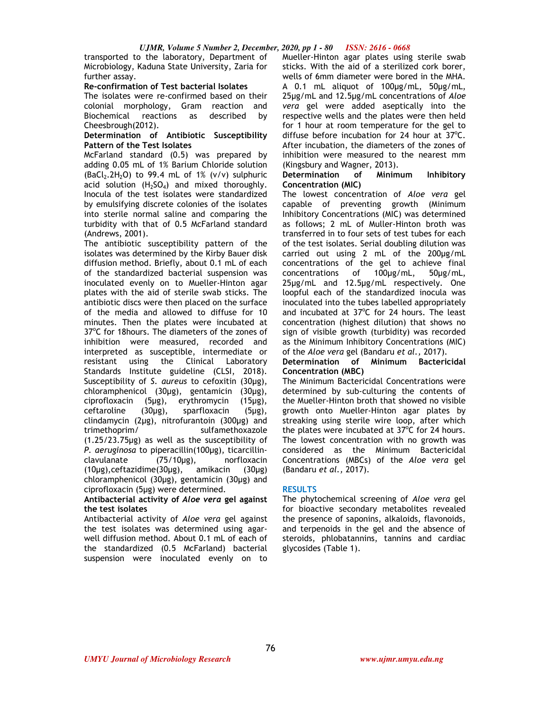transported to the laboratory, Department of Microbiology, Kaduna State University, Zaria for further assay.

### **Re-confirmation of Test bacterial Isolates**

The isolates were re-confirmed based on their colonial morphology, Gram reaction and Biochemical reactions as described by Cheesbrough(2012).

### **Determination of Antibiotic Susceptibility Pattern of the Test Isolates**

McFarland standard (0.5) was prepared by adding 0.05 mL of 1% Barium Chloride solution  $(BaCl<sub>2</sub>.2H<sub>2</sub>O)$  to 99.4 mL of 1% (v/v) sulphuric acid solution  $(H_2SO_4)$  and mixed thoroughly. Inocula of the test isolates were standardized by emulsifying discrete colonies of the isolates into sterile normal saline and comparing the turbidity with that of 0.5 McFarland standard (Andrews, 2001).

The antibiotic susceptibility pattern of the isolates was determined by the Kirby Bauer disk diffusion method. Briefly, about 0.1 mL of each of the standardized bacterial suspension was inoculated evenly on to Mueller-Hinton agar plates with the aid of sterile swab sticks. The antibiotic discs were then placed on the surface of the media and allowed to diffuse for 10 minutes. Then the plates were incubated at 37°C for 18hours. The diameters of the zones of inhibition were measured, recorded and interpreted as susceptible, intermediate or resistant using the Clinical Laboratory Standards Institute guideline (CLSI, 2018). Susceptibility of *S. aureus* to cefoxitin (30µg), chloramphenicol (30µg), gentamicin (30µg), ciprofloxacin (5µg), erythromycin (15µg), ceftaroline (30µg), sparfloxacin (5µg), clindamycin (2µg), nitrofurantoin (300µg) and trimethoprim/ sulfamethoxazole (1.25/23.75µg) as well as the susceptibility of *P. aeruginosa* to piperacillin(100µg), ticarcillinclavulanate (75/10µg), norfloxacin (10µg),ceftazidime(30µg), amikacin (30µg) chloramphenicol (30µg), gentamicin (30µg) and ciprofloxacin (5µg) were determined.

#### **Antibacterial activity of** *Aloe vera* **gel against the test isolates**

Antibacterial activity of *Aloe vera* gel against the test isolates was determined using agarwell diffusion method. About 0.1 mL of each of the standardized (0.5 McFarland) bacterial suspension were inoculated evenly on to

Mueller-Hinton agar plates using sterile swab sticks. With the aid of a sterilized cork borer, wells of 6mm diameter were bored in the MHA. A 0.1 mL aliquot of 100µg/mL, 50µg/mL, 25µg/mL and 12.5µg/mL concentrations of *Aloe vera* gel were added aseptically into the respective wells and the plates were then held for 1 hour at room temperature for the gel to diffuse before incubation for 24 hour at  $37^{\circ}$ C. After incubation, the diameters of the zones of inhibition were measured to the nearest mm (Kingsbury and Wagner, 2013).

### **Determination of Minimum Inhibitory Concentration (MIC)**

The lowest concentration of *Aloe vera* gel capable of preventing growth (Minimum Inhibitory Concentrations (MIC) was determined as follows; 2 mL of Muller-Hinton broth was transferred in to four sets of test tubes for each of the test isolates. Serial doubling dilution was carried out using 2 mL of the 200µg/mL concentrations of the gel to achieve final concentrations of 100µg/mL, 50µg/mL, 25µg/mL and 12.5µg/mL respectively. One loopful each of the standardized inocula was inoculated into the tubes labelled appropriately and incubated at  $37^{\circ}$ C for 24 hours. The least concentration (highest dilution) that shows no sign of visible growth (turbidity) was recorded as the Minimum Inhibitory Concentrations (MIC) of the *Aloe vera* gel (Bandaru *et al.,* 2017).

## **Determination of Minimum Bactericidal Concentration (MBC)**

The Minimum Bactericidal Concentrations were determined by sub-culturing the contents of the Mueller-Hinton broth that showed no visible growth onto Mueller-Hinton agar plates by streaking using sterile wire loop, after which the plates were incubated at  $37^{\circ}$ C for 24 hours. The lowest concentration with no growth was considered as the Minimum Bactericidal Concentrations (MBCs) of the *Aloe vera* gel (Bandaru *et al.,* 2017).

## **RESULTS**

The phytochemical screening of *Aloe vera* gel for bioactive secondary metabolites revealed the presence of saponins, alkaloids, flavonoids, and terpenoids in the gel and the absence of steroids, phlobatannins, tannins and cardiac glycosides (Table 1).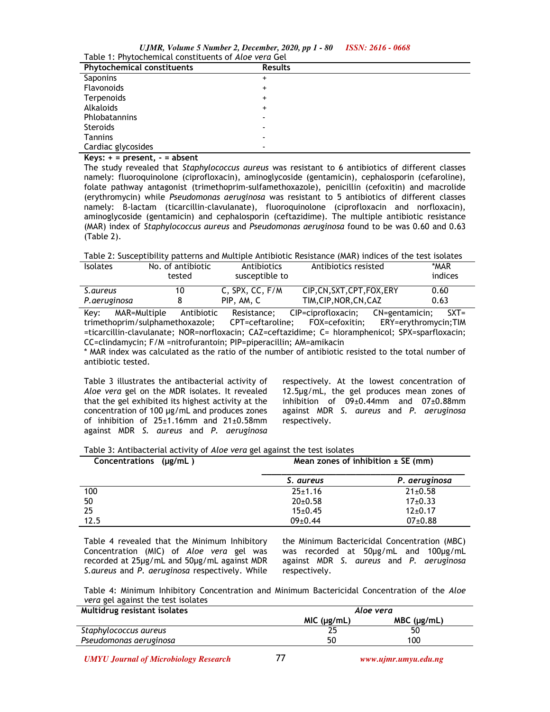*UJMR, Volume 5 Number 2, December, 2020, pp 1 - 80 ISSN: 2616 - 0668* Table 1: Phytochemical constituents of *Aloe vera* Gel

| 1800                              |                          |  |  |
|-----------------------------------|--------------------------|--|--|
| <b>Phytochemical constituents</b> | <b>Results</b>           |  |  |
| Saponins                          | +                        |  |  |
| Flavonoids                        | +                        |  |  |
| Terpenoids                        | +                        |  |  |
| <b>Alkaloids</b>                  | +                        |  |  |
| Phlobatannins                     |                          |  |  |
| Steroids                          | $\overline{\phantom{0}}$ |  |  |
| <b>Tannins</b>                    |                          |  |  |
| Cardiac glycosides                |                          |  |  |

**Keys: + = present, - = absent** 

The study revealed that *Staphylococcus aureus* was resistant to 6 antibiotics of different classes namely: fluoroquinolone (ciprofloxacin), aminoglycoside (gentamicin), cephalosporin (cefaroline), folate pathway antagonist (trimethoprim-sulfamethoxazole), penicillin (cefoxitin) and macrolide (erythromycin) while *Pseudomonas aeruginosa* was resistant to 5 antibiotics of different classes namely: β-lactam (ticarcillin-clavulanate), fluoroquinolone (ciprofloxacin and norfloxacin), aminoglycoside (gentamicin) and cephalosporin (ceftazidime). The multiple antibiotic resistance (MAR) index of *Staphylococcus aureus* and *Pseudomonas aeruginosa* found to be was 0.60 and 0.63 (Table 2).

Table 2: Susceptibility patterns and Multiple Antibiotic Resistance (MAR) indices of the test isolates

| <b>Isolates</b> | No. of antibiotic<br>tested | Antibiotics<br>susceptible to | Antibiotics resisted   | *MAR<br>indices |
|-----------------|-----------------------------|-------------------------------|------------------------|-----------------|
| S.aureus        | 10                          | C. SPX. CC. F/M               | CIP.CN.SXT.CPT.FOX.ERY | 0.60            |
| P. aeruginosa   |                             | PIP, AM, C                    | TIM, CIP, NOR, CN, CAZ | 0.63            |

Key: MAR=Multiple Antibiotic Resistance; CIP=ciprofloxacin; CN=gentamicin; SXT= trimethoprim/sulphamethoxazole; CPT=ceftaroline; FOX=cefoxitin; ERY=erythromycin;TIM =ticarcillin-clavulanate; NOR=norfloxacin; CAZ=ceftazidime; C= hloramphenicol; SPX=sparfloxacin; CC=clindamycin; F/M =nitrofurantoin; PIP=piperacillin; AM=amikacin

\* MAR index was calculated as the ratio of the number of antibiotic resisted to the total number of antibiotic tested.

Table 3 illustrates the antibacterial activity of *Aloe vera* gel on the MDR isolates. It revealed that the gel exhibited its highest activity at the concentration of 100 µg/mL and produces zones of inhibition of  $25 \pm 1.16$ mm and  $21 \pm 0.58$ mm against MDR *S. aureus* and *P. aeruginosa* 

respectively. At the lowest concentration of 12.5µg/mL, the gel produces mean zones of inhibition of 09±0.44mm and 07±0.88mm against MDR *S. aureus* and *P. aeruginosa*  respectively.

| Concentrations (µg/mL) |               | Mean zones of inhibition $\pm$ SE (mm) |  |
|------------------------|---------------|----------------------------------------|--|
|                        | S. aureus     | P. aeruginosa                          |  |
| 100                    | $25 \pm 1.16$ | $21 \pm 0.58$                          |  |
| 50                     | $20 \pm 0.58$ | $17\pm0.33$                            |  |
| 25                     | $15 \pm 0.45$ | $12 \pm 0.17$                          |  |
| 12.5                   | $09 \pm 0.44$ | $07\pm0.88$                            |  |

Table 4 revealed that the Minimum Inhibitory Concentration (MIC) of *Aloe vera* gel was recorded at 25µg/mL and 50µg/mL against MDR *S.aureus* and *P. aeruginosa* respectively. While the Minimum Bactericidal Concentration (MBC) was recorded at 50µg/mL and 100µg/mL against MDR *S. aureus* and *P. aeruginosa*  respectively.

Table 4: Minimum Inhibitory Concentration and Minimum Bactericidal Concentration of the *Aloe vera* gel against the test isolates

| Multidrug resistant isolates | Aloe vera           |                     |
|------------------------------|---------------------|---------------------|
|                              | $MIC$ ( $\mu$ g/mL) | $MBC$ ( $\mu$ g/mL) |
| Staphylococcus aureus        |                     | 50                  |
| Pseudomonas aeruginosa       | 50                  | 100                 |

*UMYU Journal of Microbiology Research www.ujmr.umyu.edu.ng*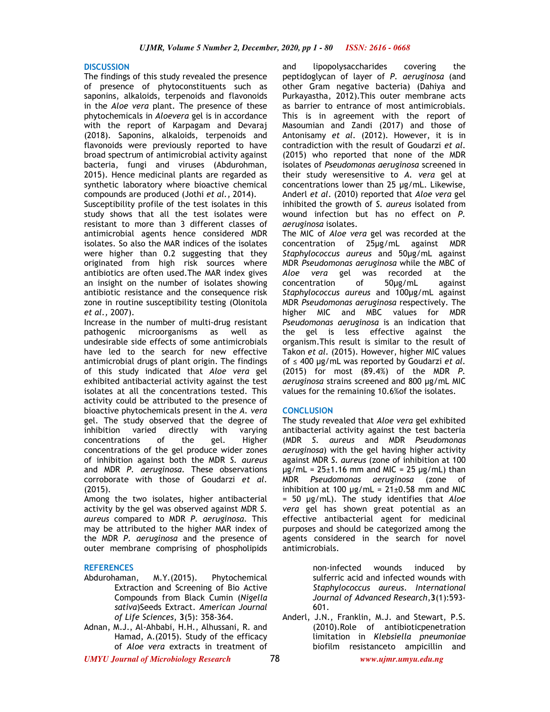#### **DISCUSSION**

The findings of this study revealed the presence of presence of phytoconstituents such as saponins, alkaloids, terpenoids and flavonoids in the *Aloe vera* plant. The presence of these phytochemicals in *Aloevera* gel is in accordance with the report of Karpagam and Devaraj (2018). Saponins, alkaloids, terpenoids and flavonoids were previously reported to have broad spectrum of antimicrobial activity against bacteria, fungi and viruses (Abdurohman, 2015). Hence medicinal plants are regarded as synthetic laboratory where bioactive chemical compounds are produced (Jothi *et al.,* 2014).

Susceptibility profile of the test isolates in this study shows that all the test isolates were resistant to more than 3 different classes of antimicrobial agents hence considered MDR isolates. So also the MAR indices of the isolates were higher than 0.2 suggesting that they originated from high risk sources where antibiotics are often used.The MAR index gives an insight on the number of isolates showing antibiotic resistance and the consequence risk zone in routine susceptibility testing (Olonitola *et al.,* 2007).

Increase in the number of multi-drug resistant pathogenic microorganisms as well undesirable side effects of some antimicrobials have led to the search for new effective antimicrobial drugs of plant origin. The findings of this study indicated that *Aloe vera* gel exhibited antibacterial activity against the test isolates at all the concentrations tested. This activity could be attributed to the presence of bioactive phytochemicals present in the *A. vera*  gel. The study observed that the degree of inhibition varied directly with varying<br>concentrations of the gel. Higher concentrations of the gel. concentrations of the gel produce wider zones of inhibition against both the MDR *S. aureus*  and MDR *P. aeruginosa.* These observations corroborate with those of Goudarzi *et al.*  (2015).

Among the two isolates, higher antibacterial activity by the gel was observed against MDR *S. aureus* compared to MDR *P. aeruginosa.* This may be attributed to the higher MAR index of the MDR *P. aeruginosa* and the presence of outer membrane comprising of phospholipids

- **REFERENCES**  M.Y.(2015). Phytochemical Extraction and Screening of Bio Active Compounds from Black Cumin (*Nigella sativa*)Seeds Extract. *American Journal of Life Sciences*, **3**(5): 358-364.
- Adnan, M.J., Al-Ahbabi, H.H., Alhussani, R. and Hamad, A.(2015). Study of the efficacy of *Aloe vera* extracts in treatment of

and lipopolysaccharides covering the peptidoglycan of layer of *P. aeruginosa* (and other Gram negative bacteria) (Dahiya and Purkayastha, 2012).This outer membrane acts as barrier to entrance of most antimicrobials. This is in agreement with the report of Masoumian and Zandi (2017) and those of Antonisamy *et al.* (2012). However, it is in contradiction with the result of Goudarzi *et al.*  (2015) who reported that none of the MDR isolates of *Pseudomonas aeruginosa* screened in their study weresensitive to *A. vera* gel at concentrations lower than 25 µg/mL. Likewise, Anderl *et al*. (2010) reported that *Aloe vera* gel inhibited the growth of *S. aureus* isolated from wound infection but has no effect on *P. aeruginosa* isolates.

The MIC of *Aloe vera* gel was recorded at the concentration of 25µg/mL against MDR *Staphylococcus aureus* and 50µg/mL against MDR *Pseudomonas aeruginosa* while the MBC of *Aloe vera* gel was recorded at the concentration of 50µg/mL against *Staphylococcus aureus* and 100µg/mL against MDR *Pseudomonas aeruginosa* respectively. The higher MIC and MBC values for MDR *Pseudomonas aeruginosa* is an indication that the gel is less effective against the organism.This result is similar to the result of Takon *et al.* (2015). However, higher MIC values of ≤ 400 µg/mL was reported by Goudarzi *et al.*  (2015) for most (89.4%) of the MDR *P. aeruginosa* strains screened and 800 µg/mL MIC values for the remaining 10.6%of the isolates.

#### **CONCLUSION**

The study revealed that *Aloe vera* gel exhibited antibacterial activity against the test bacteria (MDR *S. aureus* and MDR *Pseudomonas aeruginosa*) with the gel having higher activity against MDR *S. aureus* (zone of inhibition at 100  $\mu$ g/mL = 25 $\pm$ 1.16 mm and MIC = 25  $\mu$ g/mL) than MDR *Pseudomonas aeruginosa* (zone of inhibition at 100  $\mu$ g/mL = 21±0.58 mm and MIC = 50 µg/mL). The study identifies that *Aloe vera* gel has shown great potential as an effective antibacterial agent for medicinal purposes and should be categorized among the agents considered in the search for novel antimicrobials.

> non-infected wounds induced by sulferric acid and infected wounds with *Staphylococcus aureus*. *International Journal of Advanced Research*,**3**(1):593- 601.

Anderl, J.N., Franklin, M.J. and Stewart, P.S. (2010).Role of antibioticpenetration limitation in *Klebsiella pneumoniae*  biofilm resistanceto ampicillin and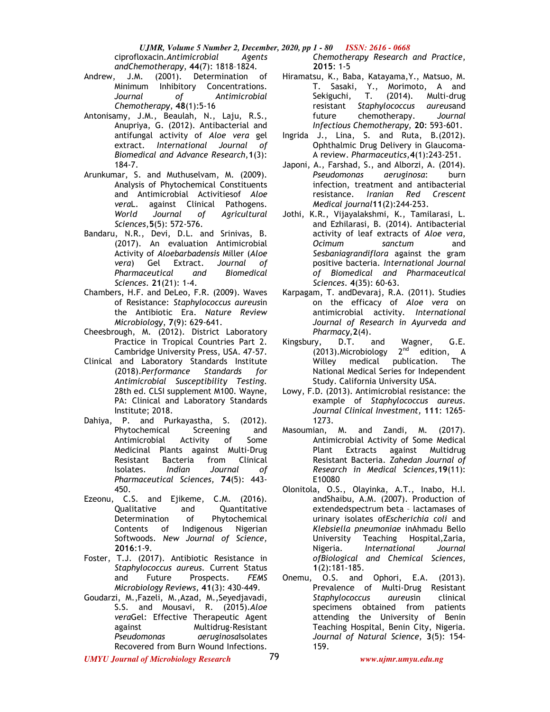*UJMR, Volume 5 Number 2, December, 2020, pp 1 - 80 ISSN: 2616 - 0668*

ciprofloxacin.*Antimicrobial Agents andChemotherapy*, **44**(7): 1818–1824.

- Andrew, J.M. (2001). Determination of Minimum Inhibitory Concentrations. *Journal of Antimicrobial Chemotherapy*, **48**(1):5-16
- Antonisamy, J.M., Beaulah, N., Laju, R.S., Anupriya, G. (2012). Antibacterial and antifungal activity of *Aloe vera* gel extract. *International Journal of Biomedical and Advance Research*,**1**(3): 184-7.
- Arunkumar, S. and Muthuselvam, M. (2009). Analysis of Phytochemical Constituents and Antimicrobial Activitiesof *Aloe vera*L. against Clinical Pathogens. *World Journal of Agricultural Sciences*,**5**(5): 572-576.
- Bandaru, N.R., Devi, D.L. and Srinivas, B. (2017). An evaluation Antimicrobial Activity of *Aloebarbadensis* Miller (*Aloe vera*) Gel Extract. *Journal of Pharmaceutical and Biomedical Sciences*. **21**(21): 1-4.
- Chambers, H.F. and DeLeo, F.R. (2009). Waves of Resistance: *Staphylococcus aureus*in the Antibiotic Era. *Nature Review Microbiology*, **7**(9): 629-641.
- Cheesbrough, M. (2012). District Laboratory Practice in Tropical Countries Part 2. Cambridge University Press, USA. 47-57.
- Clinical and Laboratory Standards Institute (2018).*Performance Standards for Antimicrobial Susceptibility Testing.*  28th ed. CLSI supplement M100. Wayne, PA: Clinical and Laboratory Standards Institute; 2018.
- Dahiya, P. and Purkayastha, S. (2012). Phytochemical Screening and Antimicrobial Activity of Some Medicinal Plants against Multi-Drug Resistant Bacteria from Clinical Isolates. *Indian Journal of Pharmaceutical Sciences,* **74**(5): 443- 450.
- Ezeonu, C.S. and Ejikeme, C.M. (2016). Qualitative and Quantitative Determination of Phytochemical Contents of Indigenous Nigerian Softwoods. *New Journal of Science,*  **2016**:1-9.
- Foster, T.J. (2017). Antibiotic Resistance in *Staphylococcus aureus.* Current Status and Future Prospects. *FEMS Microbiology Reviews,* **41**(3): 430-449.
- Goudarzi, M.,Fazeli, M.,Azad, M.,Seyedjavadi, S.S. and Mousavi, R. (2015).*Aloe vera*Gel: Effective Therapeutic Agent against Multidrug-Resistant *Pseudomonas aeruginosa*Isolates Recovered from Burn Wound Infections.

*Chemotherapy Research and Practice*, **2015**: 1-5

- Hiramatsu, K., Baba, Katayama,Y., Matsuo, M. T. Sasaki, Y., Morimoto, A and Sekiguchi, T. (2014). Multi-drug resistant *Staphylococcus aureus*and future chemotherapy. *Journal Infectious Chemotherapy,* **20**: 593-601.
- Ingrida J., Lina, S. and Ruta, B.(2012). Ophthalmic Drug Delivery in Glaucoma-A review. *Pharmaceutics,***4**(1):243-251.
- Japoni, A., Farshad, S., and Alborzi, A. (2014). *Pseudomonas aeruginosa*: burn infection, treatment and antibacterial resistance. *Iranian Red Crescent Medical journal***11**(2):244-253.
- Jothi, K.R., Vijayalakshmi, K., Tamilarasi, L. and Ezhilarasi, B. (2014). Antibacterial activity of leaf extracts of *Aloe vera*, *Ocimum sanctum* and *Sesbaniagrandiflora* against the gram positive bacteria. *International Journal of Biomedical and Pharmaceutical Sciences*. **4**(35): 60-63.
- Karpagam, T. andDevaraj, R.A. (2011). Studies on the efficacy of *Aloe vera* on antimicrobial activity. *International Journal of Research in Ayurveda and Pharmacy*,**2**(4).
- Kingsbury, D.T. and Wagner, G.E. (2013). Microbiology  $2^{nd}$  edition, A Willey medical publication. The National Medical Series for Independent Study. California University USA.
- Lowy, F.D. (2013). Antimicrobial resistance: the example of *Staphylococcus aureus*. *Journal Clinical Investment,* **111**: 1265- 1273.
- Masoumian, M. and Zandi, M. (2017). Antimicrobial Activity of Some Medical Plant Extracts against Multidrug Resistant Bacteria. *Zahedan Journal of Research in Medical Sciences,***19**(11): E10080
- Olonitola, O.S., Olayinka, A.T., Inabo, H.I. andShaibu, A.M. (2007). Production of extendedspectrum beta – lactamases of urinary isolates of*Escherichia coli* and *Klebsiella pneumoniae* inAhmadu Bello University Teaching Hospital,Zaria, Nigeria. *International Journal ofBiological and Chemical Sciences,*  **1**(2):181-185.
- Onemu, O.S. and Ophori, E.A. (2013). Prevalence of Multi-Drug Resistant *Staphylococcus aureus*in clinical specimens obtained from patients attending the University of Benin Teaching Hospital, Benin City, Nigeria. *Journal of Natural Science,* **3**(5): 154- 159.

*UMYU Journal of Microbiology Research www.ujmr.umyu.edu.ng*